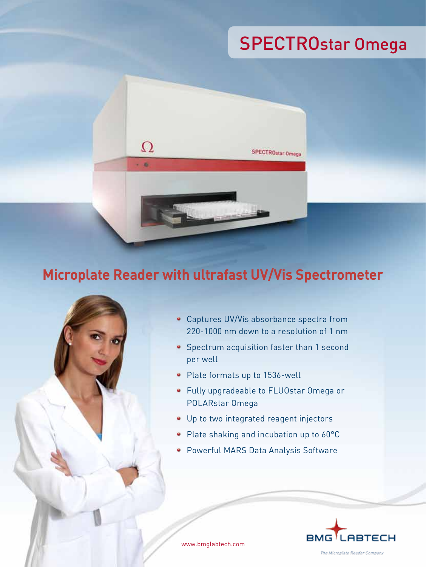# SPECTROstar Omega



 $\Omega$ 

 $-6$ 



Captures UV/Vis absorbance spectra from 220-1000 nm down to a resolution of 1 nm

SPECTROstar Omega

- **Spectrum acquisition faster than 1 second** per well
- Plate formats up to 1536-well
- Fully upgradeable to FLUOstar Omega or POLARstar Omega
- Up to two integrated reagent injectors
- Plate shaking and incubation up to 60°C
- **Powerful MARS Data Analysis Software**



www.bmglabtech.com